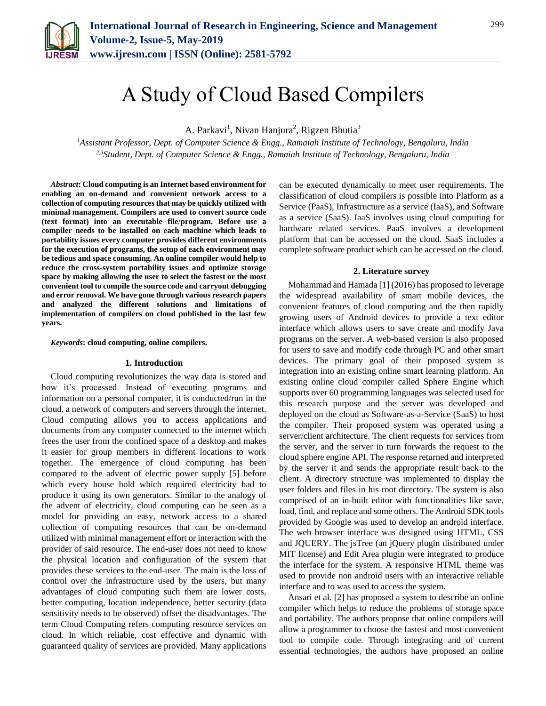

# A Study of Cloud Based Compilers

A. Parkavi<sup>1</sup>, Nivan Hanjura<sup>2</sup>, Rigzen Bhutia<sup>3</sup>

*<sup>1</sup>Assistant Professor, Dept. of Computer Science & Engg., Ramaiah Institute of Technology, Bengaluru, India 2,3Student, Dept. of Computer Science & Engg., Ramaiah Institute of Technology, Bengaluru, India*

*Abstract***: Cloud computing is an Internet based environment for enabling an on-demand and convenient network access to a collection of computing resources that may be quickly utilized with minimal management. Compilers are used to convert source code (text format) into an executable file/program. Before use a compiler needs to be installed on each machine which leads to portability issues every computer provides different environments for the execution of programs, the setup of each environment may be tedious and space consuming. An online compiler would help to reduce the cross-system portability issues and optimize storage space by making allowing the user to select the fastest or the most convenient tool to compile the source code and carryout debugging and error removal. We have gone through various research papers and analyzed the different solutions and limitations of implementation of compilers on cloud published in the last few years.**

*Keywords***: cloud computing, online compilers.** 

#### **1. Introduction**

Cloud computing revolutionizes the way data is stored and how it's processed. Instead of executing programs and information on a personal computer, it is conducted/run in the cloud, a network of computers and servers through the internet. Cloud computing allows you to access applications and documents from any computer connected to the internet which frees the user from the confined space of a desktop and makes it easier for group members in different locations to work together. The emergence of cloud computing has been compared to the advent of electric power supply [5] before which every house hold which required electricity had to produce it using its own generators. Similar to the analogy of the advent of electricity, cloud computing can be seen as a model for providing an easy, network access to a shared collection of computing resources that can be on-demand utilized with minimal management effort or interaction with the provider of said resource. The end-user does not need to know the physical location and configuration of the system that provides these services to the end-user. The main is the loss of control over the infrastructure used by the users, but many advantages of cloud computing such them are lower costs, better computing, location independence, better security (data sensitivity needs to be observed) offset the disadvantages. The term Cloud Computing refers computing resource services on cloud. In which reliable, cost effective and dynamic with guaranteed quality of services are provided. Many applications

can be executed dynamically to meet user requirements. The classification of cloud compilers is possible into Platform as a Service (PaaS), Infrastructure as a service (IaaS), and Software as a service (SaaS). IaaS involves using cloud computing for hardware related services. PaaS involves a development platform that can be accessed on the cloud. SaaS includes a complete software product which can be accessed on the cloud.

#### **2. Literature survey**

Mohammad and Hamada [1] (2016) has proposed to leverage the widespread availability of smart mobile devices, the convenient features of cloud computing and the then rapidly growing users of Android devices to provide a text editor interface which allows users to save create and modify Java programs on the server. A web-based version is also proposed for users to save and modify code through PC and other smart devices. The primary goal of their proposed system is integration into an existing online smart learning platform. An existing online cloud compiler called Sphere Engine which supports over 60 programming languages was selected used for this research purpose and the server was developed and deployed on the cloud as Software-as-a-Service (SaaS) to host the compiler. Their proposed system was operated using a server/client architecture. The client requests for services from the server, and the server in turn forwards the request to the cloud sphere engine API. The response returned and interpreted by the server it and sends the appropriate result back to the client. A directory structure was implemented to display the user folders and files in his root directory. The system is also comprised of an in-built editor with functionalities like save, load, find, and replace and some others. The Android SDK tools provided by Google was used to develop an android interface. The web browser interface was designed using HTML, CSS and JQUERY. The jsTree (an jQuery plugin distributed under MIT license) and Edit Area plugin were integrated to produce the interface for the system. A responsive HTML theme was used to provide non android users with an interactive reliable interface and to was used to access the system.

Ansari et al. [2] has proposed a system to describe an online compiler which helps to reduce the problems of storage space and portability. The authors propose that online compilers will allow a programmer to choose the fastest and most convenient tool to compile code. Through integrating and of current essential technologies, the authors have proposed an online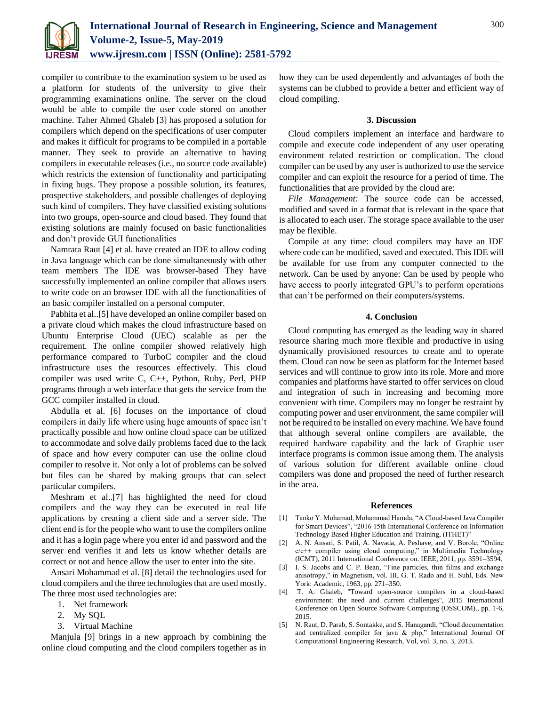

compiler to contribute to the examination system to be used as a platform for students of the university to give their programming examinations online. The server on the cloud would be able to compile the user code stored on another machine. Taher Ahmed Ghaleb [3] has proposed a solution for compilers which depend on the specifications of user computer and makes it difficult for programs to be compiled in a portable manner. They seek to provide an alternative to having compilers in executable releases (i.e., no source code available) which restricts the extension of functionality and participating in fixing bugs. They propose a possible solution, its features, prospective stakeholders, and possible challenges of deploying such kind of compilers. They have classified existing solutions into two groups, open-source and cloud based. They found that existing solutions are mainly focused on basic functionalities and don't provide GUI functionalities

Namrata Raut [4] et al. have created an IDE to allow coding in Java language which can be done simultaneously with other team members The IDE was browser-based They have successfully implemented an online compiler that allows users to write code on an browser IDE with all the functionalities of an basic compiler installed on a personal computer.

Pabhita et al..[5] have developed an online compiler based on a private cloud which makes the cloud infrastructure based on Ubuntu Enterprise Cloud (UEC) scalable as per the requirement. The online compiler showed relatively high performance compared to TurboC compiler and the cloud infrastructure uses the resources effectively. This cloud compiler was used write C, C++, Python, Ruby, Perl, PHP programs through a web interface that gets the service from the GCC compiler installed in cloud.

Abdulla et al. [6] focuses on the importance of cloud compilers in daily life where using huge amounts of space isn't practically possible and how online cloud space can be utilized to accommodate and solve daily problems faced due to the lack of space and how every computer can use the online cloud compiler to resolve it. Not only a lot of problems can be solved but files can be shared by making groups that can select particular compilers.

Meshram et al..[7] has highlighted the need for cloud compilers and the way they can be executed in real life applications by creating a client side and a server side. The client end is for the people who want to use the compilers online and it has a login page where you enter id and password and the server end verifies it and lets us know whether details are correct or not and hence allow the user to enter into the site.

Ansari Mohammad et al. [8] detail the technologies used for cloud compilers and the three technologies that are used mostly. The three most used technologies are:

- 1. Net framework
- 2. My SQL
- 3. Virtual Machine

Manjula [9] brings in a new approach by combining the online cloud computing and the cloud compilers together as in how they can be used dependently and advantages of both the systems can be clubbed to provide a better and efficient way of cloud compiling.

## **3. Discussion**

Cloud compilers implement an interface and hardware to compile and execute code independent of any user operating environment related restriction or complication. The cloud compiler can be used by any user is authorized to use the service compiler and can exploit the resource for a period of time. The functionalities that are provided by the cloud are:

*File Management:* The source code can be accessed, modified and saved in a format that is relevant in the space that is allocated to each user. The storage space available to the user may be flexible.

Compile at any time: cloud compilers may have an IDE where code can be modified, saved and executed. This IDE will be available for use from any computer connected to the network. Can be used by anyone: Can be used by people who have access to poorly integrated GPU's to perform operations that can't be performed on their computers/systems.

# **4. Conclusion**

Cloud computing has emerged as the leading way in shared resource sharing much more flexible and productive in using dynamically provisioned resources to create and to operate them. Cloud can now be seen as platform for the Internet based services and will continue to grow into its role. More and more companies and platforms have started to offer services on cloud and integration of such in increasing and becoming more convenient with time. Compilers may no longer be restraint by computing power and user environment, the same compiler will not be required to be installed on every machine. We have found that although several online compilers are available, the required hardware capability and the lack of Graphic user interface programs is common issue among them. The analysis of various solution for different available online cloud compilers was done and proposed the need of further research in the area.

## **References**

- [1] Tanko Y. Mohamad, Mohammad Hamda, "A Cloud-based Java Compiler for Smart Devices", "2016 15th International Conference on Information Technology Based Higher Education and Training, (ITHET)"
- [2] A. N. Ansari, S. Patil, A. Navada, A. Peshave, and V. Borole, "Online c/c++ compiler using cloud computing," in Multimedia Technology (ICMT), 2011 International Conference on. IEEE, 2011, pp. 3591–3594.
- [3] I. S. Jacobs and C. P. Bean, "Fine particles, thin films and exchange anisotropy," in Magnetism, vol. III, G. T. Rado and H. Suhl, Eds. New York: Academic, 1963, pp. 271–350.
- [4] T. A. Ghaleb, "Toward open-source compilers in a cloud-based environment: the need and current challenges", 2015 International Conference on Open Source Software Computing (OSSCOM)., pp. 1-6, 2015.
- [5] N. Raut, D. Parab, S. Sontakke, and S. Hanagandi, "Cloud documentation and centralized compiler for java & php," International Journal Of Computational Engineering Research, Vol, vol. 3, no. 3, 2013.